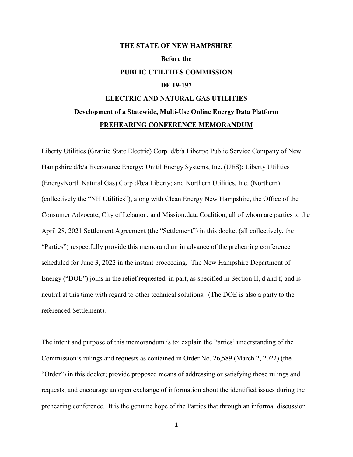# **THE STATE OF NEW HAMPSHIRE Before the PUBLIC UTILITIES COMMISSION DE 19-197 ELECTRIC AND NATURAL GAS UTILITIES Development of a Statewide, Multi-Use Online Energy Data Platform PREHEARING CONFERENCE MEMORANDUM**

Liberty Utilities (Granite State Electric) Corp. d/b/a Liberty; Public Service Company of New Hampshire d/b/a Eversource Energy; Unitil Energy Systems, Inc. (UES); Liberty Utilities (EnergyNorth Natural Gas) Corp d/b/a Liberty; and Northern Utilities, Inc. (Northern) (collectively the "NH Utilities"), along with Clean Energy New Hampshire, the Office of the Consumer Advocate, City of Lebanon, and Mission:data Coalition, all of whom are parties to the April 28, 2021 Settlement Agreement (the "Settlement") in this docket (all collectively, the "Parties") respectfully provide this memorandum in advance of the prehearing conference scheduled for June 3, 2022 in the instant proceeding. The New Hampshire Department of Energy ("DOE") joins in the relief requested, in part, as specified in Section II, d and f, and is neutral at this time with regard to other technical solutions. (The DOE is also a party to the referenced Settlement).

The intent and purpose of this memorandum is to: explain the Parties' understanding of the Commission's rulings and requests as contained in Order No. 26,589 (March 2, 2022) (the "Order") in this docket; provide proposed means of addressing or satisfying those rulings and requests; and encourage an open exchange of information about the identified issues during the prehearing conference. It is the genuine hope of the Parties that through an informal discussion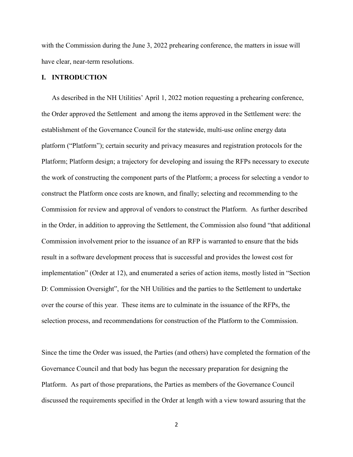with the Commission during the June 3, 2022 prehearing conference, the matters in issue will have clear, near-term resolutions.

### **I. INTRODUCTION**

As described in the NH Utilities' April 1, 2022 motion requesting a prehearing conference, the Order approved the Settlement and among the items approved in the Settlement were: the establishment of the Governance Council for the statewide, multi-use online energy data platform ("Platform"); certain security and privacy measures and registration protocols for the Platform; Platform design; a trajectory for developing and issuing the RFPs necessary to execute the work of constructing the component parts of the Platform; a process for selecting a vendor to construct the Platform once costs are known, and finally; selecting and recommending to the Commission for review and approval of vendors to construct the Platform. As further described in the Order, in addition to approving the Settlement, the Commission also found "that additional Commission involvement prior to the issuance of an RFP is warranted to ensure that the bids result in a software development process that is successful and provides the lowest cost for implementation" (Order at 12), and enumerated a series of action items, mostly listed in "Section D: Commission Oversight", for the NH Utilities and the parties to the Settlement to undertake over the course of this year. These items are to culminate in the issuance of the RFPs, the selection process, and recommendations for construction of the Platform to the Commission.

Since the time the Order was issued, the Parties (and others) have completed the formation of the Governance Council and that body has begun the necessary preparation for designing the Platform. As part of those preparations, the Parties as members of the Governance Council discussed the requirements specified in the Order at length with a view toward assuring that the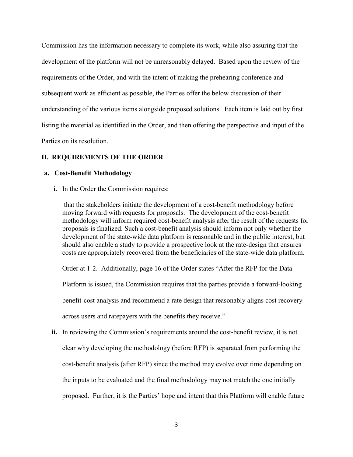Commission has the information necessary to complete its work, while also assuring that the development of the platform will not be unreasonably delayed. Based upon the review of the requirements of the Order, and with the intent of making the prehearing conference and subsequent work as efficient as possible, the Parties offer the below discussion of their understanding of the various items alongside proposed solutions. Each item is laid out by first listing the material as identified in the Order, and then offering the perspective and input of the Parties on its resolution.

#### **II. REQUIREMENTS OF THE ORDER**

#### **a. Cost-Benefit Methodology**

**i.** In the Order the Commission requires:

that the stakeholders initiate the development of a cost-benefit methodology before moving forward with requests for proposals. The development of the cost-benefit methodology will inform required cost-benefit analysis after the result of the requests for proposals is finalized. Such a cost-benefit analysis should inform not only whether the development of the state-wide data platform is reasonable and in the public interest, but should also enable a study to provide a prospective look at the rate-design that ensures costs are appropriately recovered from the beneficiaries of the state-wide data platform.

Order at 1-2. Additionally, page 16 of the Order states "After the RFP for the Data Platform is issued, the Commission requires that the parties provide a forward-looking benefit-cost analysis and recommend a rate design that reasonably aligns cost recovery across users and ratepayers with the benefits they receive."

**ii.** In reviewing the Commission's requirements around the cost-benefit review, it is not clear why developing the methodology (before RFP) is separated from performing the cost-benefit analysis (after RFP) since the method may evolve over time depending on the inputs to be evaluated and the final methodology may not match the one initially proposed. Further, it is the Parties' hope and intent that this Platform will enable future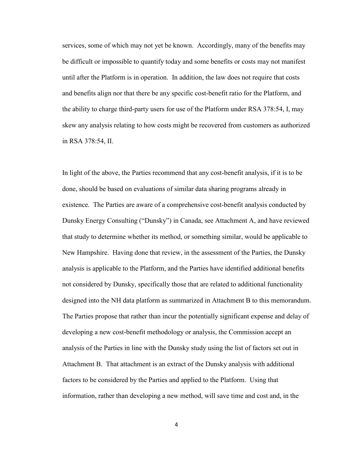services, some of which may not yet be known. Accordingly, many of the benefits may be difficult or impossible to quantify today and some benefits or costs may not manifest until after the Platform is in operation. In addition, the law does not require that costs and benefits align nor that there be any specific cost-benefit ratio for the Platform, and the ability to charge third-party users for use of the Platform under RSA 378:54, I, may skew any analysis relating to how costs might be recovered from customers as authorized in RSA 378:54, II.

In light of the above, the Parties recommend that any cost-benefit analysis, if it is to be done, should be based on evaluations of similar data sharing programs already in existence. The Parties are aware of a comprehensive cost-benefit analysis conducted by Dunsky Energy Consulting ("Dunsky") in Canada, see Attachment A, and have reviewed that study to determine whether its method, or something similar, would be applicable to New Hampshire. Having done that review, in the assessment of the Parties, the Dunsky analysis is applicable to the Platform, and the Parties have identified additional benefits not considered by Dunsky, specifically those that are related to additional functionality designed into the NH data platform as summarized in Attachment B to this memorandum. The Parties propose that rather than incur the potentially significant expense and delay of developing a new cost-benefit methodology or analysis, the Commission accept an analysis of the Parties in line with the Dunsky study using the list of factors set out in Attachment B. That attachment is an extract of the Dunsky analysis with additional factors to be considered by the Parties and applied to the Platform. Using that information, rather than developing a new method, will save time and cost and, in the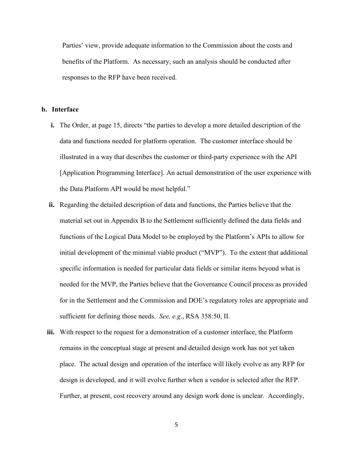Parties' view, provide adequate information to the Commission about the costs and benefits of the Platform. As necessary, such an analysis should be conducted after responses to the RFP have been received.

#### **b. Interface**

- **i.** The Order, at page 15, directs "the parties to develop a more detailed description of the data and functions needed for platform operation. The customer interface should be illustrated in a way that describes the customer or third-party experience with the API [Application Programming Interface]. An actual demonstration of the user experience with the Data Platform API would be most helpful."
- **ii.** Regarding the detailed description of data and functions, the Parties believe that the material set out in Appendix B to the Settlement sufficiently defined the data fields and functions of the Logical Data Model to be employed by the Platform's APIs to allow for initial development of the minimal viable product ("MVP"). To the extent that additional specific information is needed for particular data fields or similar items beyond what is needed for the MVP, the Parties believe that the Governance Council process as provided for in the Settlement and the Commission and DOE's regulatory roles are appropriate and sufficient for defining those needs. *See, e.g*., RSA 358:50, II.
- **iii.** With respect to the request for a demonstration of a customer interface, the Platform remains in the conceptual stage at present and detailed design work has not yet taken place. The actual design and operation of the interface will likely evolve as any RFP for design is developed, and it will evolve further when a vendor is selected after the RFP. Further, at present, cost recovery around any design work done is unclear. Accordingly,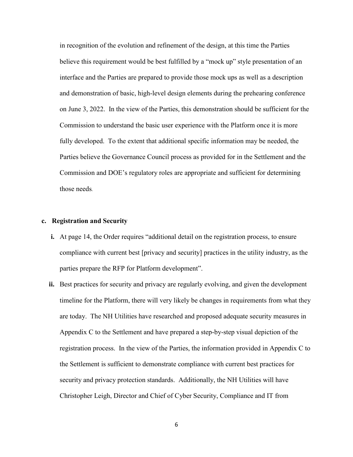in recognition of the evolution and refinement of the design, at this time the Parties believe this requirement would be best fulfilled by a "mock up" style presentation of an interface and the Parties are prepared to provide those mock ups as well as a description and demonstration of basic, high-level design elements during the prehearing conference on June 3, 2022. In the view of the Parties, this demonstration should be sufficient for the Commission to understand the basic user experience with the Platform once it is more fully developed. To the extent that additional specific information may be needed, the Parties believe the Governance Council process as provided for in the Settlement and the Commission and DOE's regulatory roles are appropriate and sufficient for determining those needs.

# **c. Registration and Security**

- **i.** At page 14, the Order requires "additional detail on the registration process, to ensure compliance with current best [privacy and security] practices in the utility industry, as the parties prepare the RFP for Platform development".
- **ii.** Best practices for security and privacy are regularly evolving, and given the development timeline for the Platform, there will very likely be changes in requirements from what they are today. The NH Utilities have researched and proposed adequate security measures in Appendix C to the Settlement and have prepared a step-by-step visual depiction of the registration process. In the view of the Parties, the information provided in Appendix C to the Settlement is sufficient to demonstrate compliance with current best practices for security and privacy protection standards. Additionally, the NH Utilities will have Christopher Leigh, Director and Chief of Cyber Security, Compliance and IT from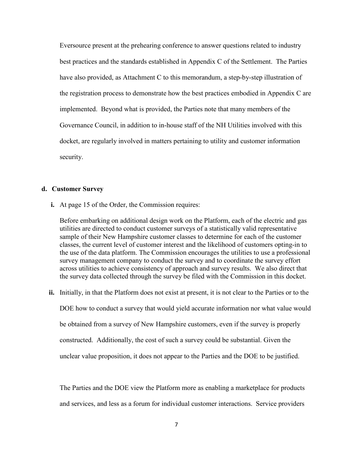Eversource present at the prehearing conference to answer questions related to industry best practices and the standards established in Appendix C of the Settlement. The Parties have also provided, as Attachment C to this memorandum, a step-by-step illustration of the registration process to demonstrate how the best practices embodied in Appendix C are implemented. Beyond what is provided, the Parties note that many members of the Governance Council, in addition to in-house staff of the NH Utilities involved with this docket, are regularly involved in matters pertaining to utility and customer information security.

#### **d. Customer Survey**

**i.** At page 15 of the Order, the Commission requires:

Before embarking on additional design work on the Platform, each of the electric and gas utilities are directed to conduct customer surveys of a statistically valid representative sample of their New Hampshire customer classes to determine for each of the customer classes, the current level of customer interest and the likelihood of customers opting-in to the use of the data platform. The Commission encourages the utilities to use a professional survey management company to conduct the survey and to coordinate the survey effort across utilities to achieve consistency of approach and survey results. We also direct that the survey data collected through the survey be filed with the Commission in this docket.

**ii.** Initially, in that the Platform does not exist at present, it is not clear to the Parties or to the

DOE how to conduct a survey that would yield accurate information nor what value would

be obtained from a survey of New Hampshire customers, even if the survey is properly

constructed. Additionally, the cost of such a survey could be substantial. Given the

unclear value proposition, it does not appear to the Parties and the DOE to be justified.

The Parties and the DOE view the Platform more as enabling a marketplace for products and services, and less as a forum for individual customer interactions. Service providers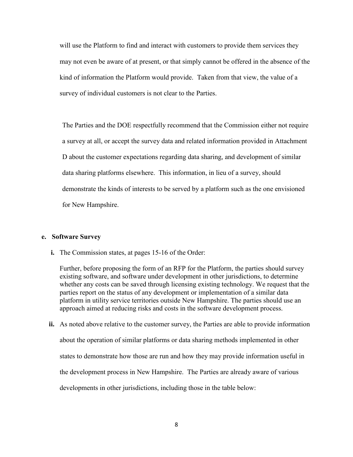will use the Platform to find and interact with customers to provide them services they may not even be aware of at present, or that simply cannot be offered in the absence of the kind of information the Platform would provide. Taken from that view, the value of a survey of individual customers is not clear to the Parties.

The Parties and the DOE respectfully recommend that the Commission either not require a survey at all, or accept the survey data and related information provided in Attachment D about the customer expectations regarding data sharing, and development of similar data sharing platforms elsewhere. This information, in lieu of a survey, should demonstrate the kinds of interests to be served by a platform such as the one envisioned for New Hampshire.

#### **e. Software Survey**

**i.** The Commission states, at pages 15-16 of the Order:

Further, before proposing the form of an RFP for the Platform, the parties should survey existing software, and software under development in other jurisdictions, to determine whether any costs can be saved through licensing existing technology. We request that the parties report on the status of any development or implementation of a similar data platform in utility service territories outside New Hampshire. The parties should use an approach aimed at reducing risks and costs in the software development process.

**ii.** As noted above relative to the customer survey, the Parties are able to provide information about the operation of similar platforms or data sharing methods implemented in other states to demonstrate how those are run and how they may provide information useful in the development process in New Hampshire. The Parties are already aware of various developments in other jurisdictions, including those in the table below: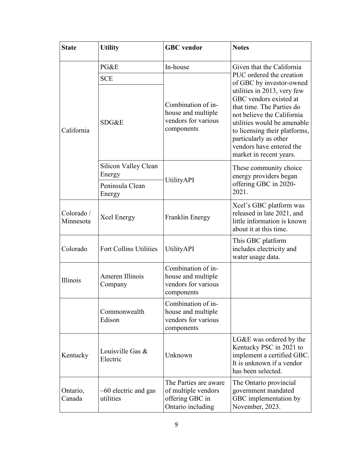| <b>State</b>            | <b>Utility</b>                                    | <b>GBC</b> vendor                                                                    | <b>Notes</b>                                                                                                                                                                                                                                                                                                                                          |
|-------------------------|---------------------------------------------------|--------------------------------------------------------------------------------------|-------------------------------------------------------------------------------------------------------------------------------------------------------------------------------------------------------------------------------------------------------------------------------------------------------------------------------------------------------|
| California              | PG&E                                              | In-house                                                                             | Given that the California<br>PUC ordered the creation<br>of GBC by investor-owned<br>utilities in 2013, very few<br>GBC vendors existed at<br>that time. The Parties do<br>not believe the California<br>utilities would be amenable<br>to licensing their platforms,<br>particularly as other<br>vendors have entered the<br>market in recent years. |
|                         | <b>SCE</b>                                        |                                                                                      |                                                                                                                                                                                                                                                                                                                                                       |
|                         | SDG&E                                             | Combination of in-<br>house and multiple<br>vendors for various<br>components        |                                                                                                                                                                                                                                                                                                                                                       |
|                         | Silicon Valley Clean<br>Energy<br>Peninsula Clean | UtilityAPI                                                                           | These community choice<br>energy providers began<br>offering GBC in 2020-<br>2021.                                                                                                                                                                                                                                                                    |
|                         | Energy                                            |                                                                                      |                                                                                                                                                                                                                                                                                                                                                       |
| Colorado /<br>Minnesota | <b>Xcel Energy</b>                                | Franklin Energy                                                                      | Xcel's GBC platform was<br>released in late 2021, and<br>little information is known<br>about it at this time.                                                                                                                                                                                                                                        |
| Colorado                | <b>Fort Collins Utilities</b>                     | UtilityAPI                                                                           | This GBC platform<br>includes electricity and<br>water usage data.                                                                                                                                                                                                                                                                                    |
| Illinois                | Ameren Illinois<br>Company                        | Combination of in-<br>house and multiple<br>vendors for various<br>components        |                                                                                                                                                                                                                                                                                                                                                       |
|                         | Commonwealth<br>Edison                            | Combination of in-<br>house and multiple<br>vendors for various<br>components        |                                                                                                                                                                                                                                                                                                                                                       |
| Kentucky                | Louisville Gas &<br>Electric                      | Unknown                                                                              | LG&E was ordered by the<br>Kentucky PSC in 2021 to<br>implement a certified GBC.<br>It is unknown if a vendor<br>has been selected.                                                                                                                                                                                                                   |
| Ontario,<br>Canada      | $\sim 60$ electric and gas<br>utilities           | The Parties are aware<br>of multiple vendors<br>offering GBC in<br>Ontario including | The Ontario provincial<br>government mandated<br>GBC implementation by<br>November, 2023.                                                                                                                                                                                                                                                             |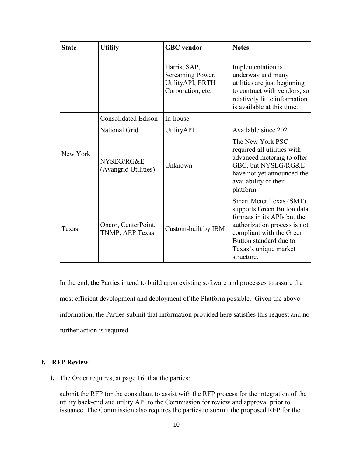| <b>State</b> | <b>Utility</b>                         | <b>GBC</b> vendor                                                         | <b>Notes</b>                                                                                                                                                                                                             |
|--------------|----------------------------------------|---------------------------------------------------------------------------|--------------------------------------------------------------------------------------------------------------------------------------------------------------------------------------------------------------------------|
|              |                                        | Harris, SAP,<br>Screaming Power,<br>UtilityAPI, ERTH<br>Corporation, etc. | Implementation is<br>underway and many<br>utilities are just beginning<br>to contract with vendors, so<br>relatively little information<br>is available at this time.                                                    |
| New York     | <b>Consolidated Edison</b>             | In-house                                                                  |                                                                                                                                                                                                                          |
|              | National Grid                          | <b>UtilityAPI</b>                                                         | Available since 2021                                                                                                                                                                                                     |
|              | NYSEG/RG&E<br>(Avangrid Utilities)     | Unknown                                                                   | The New York PSC<br>required all utilities with<br>advanced metering to offer<br>GBC, but NYSEG/RG&E<br>have not yet announced the<br>availability of their<br>platform                                                  |
| Texas        | Oncor, CenterPoint,<br>TNMP, AEP Texas | Custom-built by IBM                                                       | <b>Smart Meter Texas (SMT)</b><br>supports Green Button data<br>formats in its APIs but the<br>authorization process is not<br>compliant with the Green<br>Button standard due to<br>Texas's unique market<br>structure. |

In the end, the Parties intend to build upon existing software and processes to assure the most efficient development and deployment of the Platform possible. Given the above information, the Parties submit that information provided here satisfies this request and no further action is required.

# **f. RFP Review**

**i.** The Order requires, at page 16, that the parties:

submit the RFP for the consultant to assist with the RFP process for the integration of the utility back-end and utility API to the Commission for review and approval prior to issuance. The Commission also requires the parties to submit the proposed RFP for the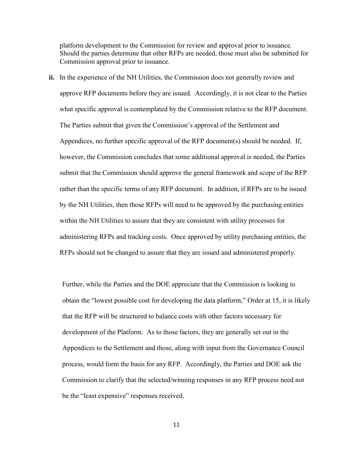platform development to the Commission for review and approval prior to issuance. Should the parties determine that other RFPs are needed, those must also be submitted for Commission approval prior to issuance.

**ii.** In the experience of the NH Utilities, the Commission does not generally review and approve RFP documents before they are issued. Accordingly, it is not clear to the Parties what specific approval is contemplated by the Commission relative to the RFP document. The Parties submit that given the Commission's approval of the Settlement and Appendices, no further specific approval of the RFP document(s) should be needed. If, however, the Commission concludes that some additional approval is needed, the Parties submit that the Commission should approve the general framework and scope of the RFP rather than the specific terms of any RFP document. In addition, if RFPs are to be issued by the NH Utilities, then those RFPs will need to be approved by the purchasing entities within the NH Utilities to assure that they are consistent with utility processes for administering RFPs and tracking costs. Once approved by utility purchasing entities, the RFPs should not be changed to assure that they are issued and administered properly.

Further, while the Parties and the DOE appreciate that the Commission is looking to obtain the "lowest possible cost for developing the data platform," Order at 15, it is likely that the RFP will be structured to balance costs with other factors necessary for development of the Platform. As to those factors, they are generally set out in the Appendices to the Settlement and those, along with input from the Governance Council process, would form the basis for any RFP. Accordingly, the Parties and DOE ask the Commission to clarify that the selected/winning responses in any RFP process need not be the "least expensive" responses received.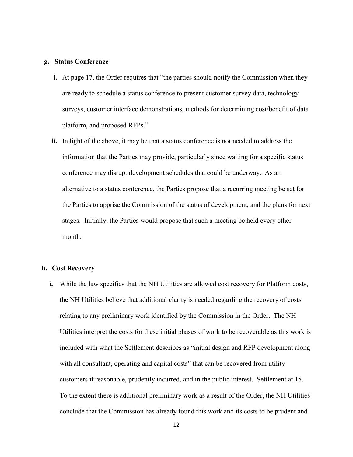#### **g. Status Conference**

- **i.** At page 17, the Order requires that "the parties should notify the Commission when they are ready to schedule a status conference to present customer survey data, technology surveys, customer interface demonstrations, methods for determining cost/benefit of data platform, and proposed RFPs."
- **ii.** In light of the above, it may be that a status conference is not needed to address the information that the Parties may provide, particularly since waiting for a specific status conference may disrupt development schedules that could be underway. As an alternative to a status conference, the Parties propose that a recurring meeting be set for the Parties to apprise the Commission of the status of development, and the plans for next stages. Initially, the Parties would propose that such a meeting be held every other month.

#### **h. Cost Recovery**

**i.** While the law specifies that the NH Utilities are allowed cost recovery for Platform costs, the NH Utilities believe that additional clarity is needed regarding the recovery of costs relating to any preliminary work identified by the Commission in the Order. The NH Utilities interpret the costs for these initial phases of work to be recoverable as this work is included with what the Settlement describes as "initial design and RFP development along with all consultant, operating and capital costs" that can be recovered from utility customers if reasonable, prudently incurred, and in the public interest. Settlement at 15. To the extent there is additional preliminary work as a result of the Order, the NH Utilities conclude that the Commission has already found this work and its costs to be prudent and